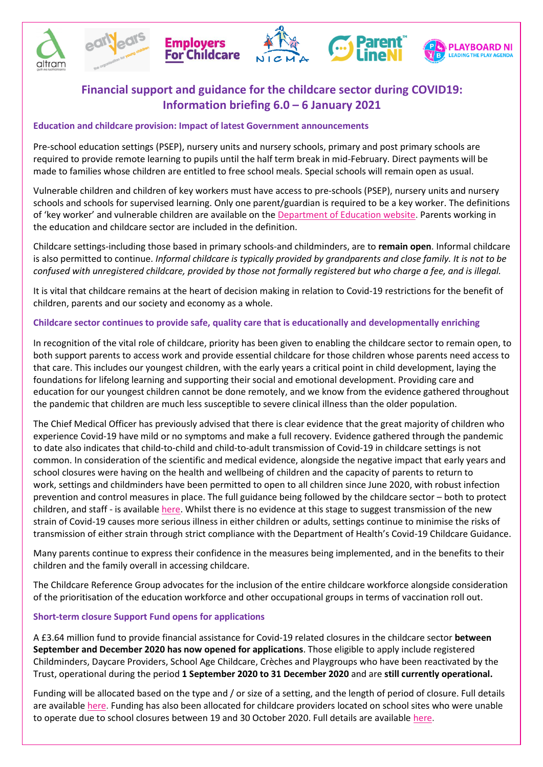









# **Financial support and guidance for the childcare sector during COVID19: Information briefing 6.0 – 6 January 2021**

## **Education and childcare provision: Impact of latest Government announcements**

Pre-school education settings (PSEP), nursery units and nursery schools, primary and post primary schools are required to provide remote learning to pupils until the half term break in mid-February. Direct payments will be made to families whose children are entitled to free school meals. Special schools will remain open as usual.

Vulnerable children and children of key workers must have access to pre-schools (PSEP), nursery units and nursery schools and schools for supervised learning. Only one parent/guardian is required to be a key worker. The definitions of 'key worker' and vulnerable children are available on the [Department of Education website.](https://www.education-ni.gov.uk/news/weir-sets-out-plans-education-provision) Parents working in the education and childcare sector are included in the definition.

Childcare settings-including those based in primary schools-and childminders, are to **remain open**. Informal childcare is also permitted to continue. *Informal childcare is typically provided by grandparents and close family. It is not to be confused with unregistered childcare, provided by those not formally registered but who charge a fee, and is illegal.*

It is vital that childcare remains at the heart of decision making in relation to Covid-19 restrictions for the benefit of children, parents and our society and economy as a whole.

# **Childcare sector continues to provide safe, quality care that is educationally and developmentally enriching**

In recognition of the vital role of childcare, priority has been given to enabling the childcare sector to remain open, to both support parents to access work and provide essential childcare for those children whose parents need access to that care. This includes our youngest children, with the early years a critical point in child development, laying the foundations for lifelong learning and supporting their social and emotional development. Providing care and education for our youngest children cannot be done remotely, and we know from the evidence gathered throughout the pandemic that children are much less susceptible to severe clinical illness than the older population.

The Chief Medical Officer has previously advised that there is clear evidence that the great majority of children who experience Covid-19 have mild or no symptoms and make a full recovery. Evidence gathered through the pandemic to date also indicates that child-to-child and child-to-adult transmission of Covid-19 in childcare settings is not common. In consideration of the scientific and medical evidence, alongside the negative impact that early years and school closures were having on the health and wellbeing of children and the capacity of parents to return to work, settings and childminders have been permitted to open to all children since June 2020, with robust infection prevention and control measures in place. The full guidance being followed by the childcare sector – both to protect children, and staff - is available [here.](https://www.familysupportni.gov.uk/NewsStory/101/latest-doh-covid19-guidance-for-childcare-providers-parents-of-children-in-childcare) Whilst there is no evidence at this stage to suggest transmission of the new strain of Covid-19 causes more serious illness in either children or adults, settings continue to minimise the risks of transmission of either strain through strict compliance with the Department of Health's Covid-19 Childcare Guidance.

Many parents continue to express their confidence in the measures being implemented, and in the benefits to their children and the family overall in accessing childcare.

The Childcare Reference Group advocates for the inclusion of the entire childcare workforce alongside consideration of the prioritisation of the education workforce and other occupational groups in terms of vaccination roll out.

### **Short-term closure Support Fund opens for applications**

A £3.64 million fund to provide financial assistance for Covid-19 related closures in the childcare sector **between September and December 2020 has now opened for applications**. Those eligible to apply include registered Childminders, Daycare Providers, School Age Childcare, Crèches and Playgroups who have been reactivated by the Trust, operational during the period **1 September 2020 to 31 December 2020** and are **still currently operational.**

Funding will be allocated based on the type and / or size of a setting, and the length of period of closure. Full details are available [here.](https://www.early-years.org/csf-temporary-covid19) Funding has also been allocated for childcare providers located on school sites who were unable to operate due to school closures between 19 and 30 October 2020. Full details are available [here.](https://www.early-years.org/csf-temporary-closed-schools)